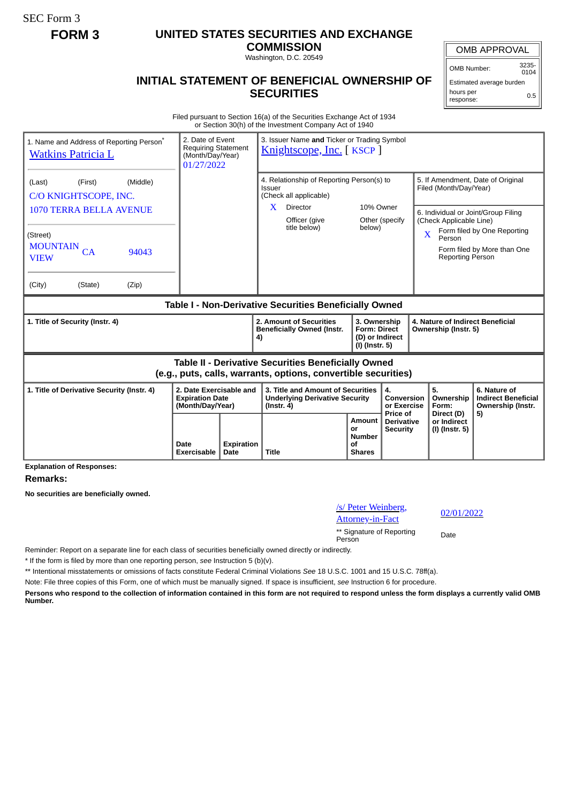SEC Form 3

## **FORM 3 UNITED STATES SECURITIES AND EXCHANGE**

**COMMISSION** Washington, D.C. 20549

## **INITIAL STATEMENT OF BENEFICIAL OWNERSHIP OF SECURITIES**

OMB APPROVAL

OMB Number: 3235-  $0104$ 

Estimated average burden hours per response: 0.5

Filed pursuant to Section 16(a) of the Securities Exchange Act of 1934 or Section 30(h) of the Investment Company Act of 1940

| 1. Name and Address of Reporting Person <sup>®</sup><br><b>Watkins Patricia L</b>                                            | 2. Date of Event<br><b>Requiring Statement</b><br>(Month/Day/Year)<br>01/27/2022 |  | 3. Issuer Name and Ticker or Trading Symbol<br>Knightscope, Inc. [KSCP]                        |                     |                                                                            |                                                             |                                                                                                         |                                                                       |  |
|------------------------------------------------------------------------------------------------------------------------------|----------------------------------------------------------------------------------|--|------------------------------------------------------------------------------------------------|---------------------|----------------------------------------------------------------------------|-------------------------------------------------------------|---------------------------------------------------------------------------------------------------------|-----------------------------------------------------------------------|--|
| (Middle)<br>(First)<br>(Last)<br>C/O KNIGHTSCOPE, INC.                                                                       |                                                                                  |  | 4. Relationship of Reporting Person(s) to<br>Issuer<br>(Check all applicable)                  |                     |                                                                            | 5. If Amendment, Date of Original<br>Filed (Month/Day/Year) |                                                                                                         |                                                                       |  |
| 1070 TERRA BELLA AVENUE<br>(Street)                                                                                          |                                                                                  |  | $\mathbf{X}$<br>Director<br>Officer (give<br>title below)                                      | 10% Owner<br>below) | Other (specify                                                             | $\overline{\mathbf{X}}$                                     | 6. Individual or Joint/Group Filing<br>(Check Applicable Line)<br>Form filed by One Reporting<br>Person |                                                                       |  |
| <b>MOUNTAIN</b><br>CA<br>94043<br><b>VIEW</b>                                                                                |                                                                                  |  |                                                                                                |                     |                                                                            |                                                             | <b>Reporting Person</b>                                                                                 | Form filed by More than One                                           |  |
| (City)<br>(State)<br>(Zip)                                                                                                   |                                                                                  |  |                                                                                                |                     |                                                                            |                                                             |                                                                                                         |                                                                       |  |
| Table I - Non-Derivative Securities Beneficially Owned                                                                       |                                                                                  |  |                                                                                                |                     |                                                                            |                                                             |                                                                                                         |                                                                       |  |
| 1. Title of Security (Instr. 4)                                                                                              |                                                                                  |  | 2. Amount of Securities<br><b>Beneficially Owned (Instr.</b><br>4)                             |                     | 3. Ownership<br><b>Form: Direct</b><br>(D) or Indirect<br>$(I)$ (Instr. 5) |                                                             | 4. Nature of Indirect Beneficial<br>Ownership (Instr. 5)                                                |                                                                       |  |
| <b>Table II - Derivative Securities Beneficially Owned</b><br>(e.g., puts, calls, warrants, options, convertible securities) |                                                                                  |  |                                                                                                |                     |                                                                            |                                                             |                                                                                                         |                                                                       |  |
|                                                                                                                              |                                                                                  |  |                                                                                                |                     |                                                                            |                                                             |                                                                                                         |                                                                       |  |
| 1. Title of Derivative Security (Instr. 4)                                                                                   | 2. Date Exercisable and<br><b>Expiration Date</b><br>(Month/Day/Year)            |  | 3. Title and Amount of Securities<br><b>Underlying Derivative Security</b><br>$($ lnstr. 4 $)$ |                     | 4.<br>Conversion<br>or Exercise<br>Price of                                | 5.<br>Form:                                                 | Ownership<br>Direct (D)                                                                                 | 6. Nature of<br><b>Indirect Beneficial</b><br>Ownership (Instr.<br>5) |  |

**Explanation of Responses:**

**Remarks:**

**No securities are beneficially owned.**

## /s/ Peter Weinberg, <u>S/ Feter wentberg</u>,  $\frac{02}{01/2022}$ \*\* Signature of Reporting Person Date

Reminder: Report on a separate line for each class of securities beneficially owned directly or indirectly.

\* If the form is filed by more than one reporting person, *see* Instruction 5 (b)(v).

\*\* Intentional misstatements or omissions of facts constitute Federal Criminal Violations *See* 18 U.S.C. 1001 and 15 U.S.C. 78ff(a).

Note: File three copies of this Form, one of which must be manually signed. If space is insufficient, *see* Instruction 6 for procedure.

**Persons who respond to the collection of information contained in this form are not required to respond unless the form displays a currently valid OMB Number.**